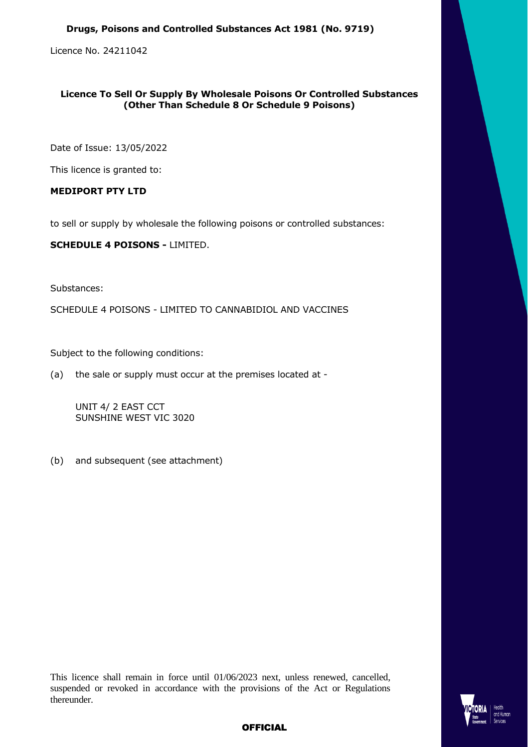### **Drugs, Poisons and Controlled Substances Act 1981 (No. 9719)**

Licence No. 24211042

# **Licence To Sell Or Supply By Wholesale Poisons Or Controlled Substances (Other Than Schedule 8 Or Schedule 9 Poisons)**

Date of Issue: 13/05/2022

This licence is granted to:

# **MEDIPORT PTY LTD**

to sell or supply by wholesale the following poisons or controlled substances:

**SCHEDULE 4 POISONS -** LIMITED.

Substances:

SCHEDULE 4 POISONS - LIMITED TO CANNABIDIOL AND VACCINES

Subject to the following conditions:

(a) the sale or supply must occur at the premises located at -

UNIT 4/ 2 EAST CCT SUNSHINE WEST VIC 3020

(b) and subsequent (see attachment)

This licence shall remain in force until 01/06/2023 next, unless renewed, cancelled, suspended or revoked in accordance with the provisions of the Act or Regulations thereunder.



# **OFFICIAL**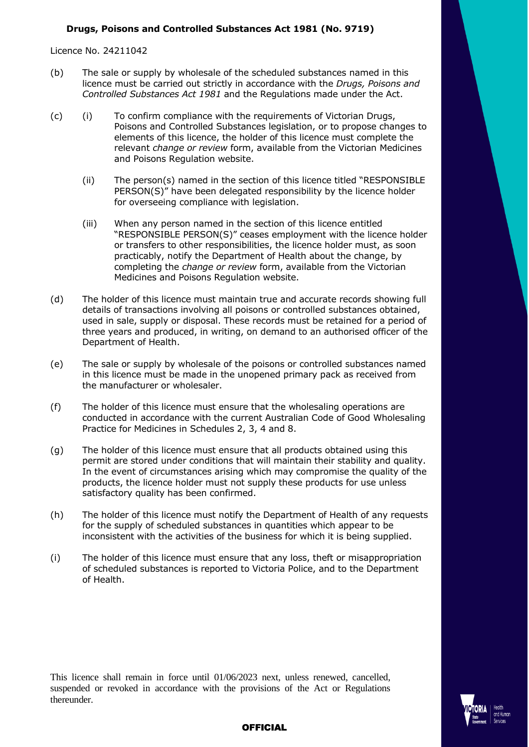## **Drugs, Poisons and Controlled Substances Act 1981 (No. 9719)**

Licence No. 24211042

- (b) The sale or supply by wholesale of the scheduled substances named in this licence must be carried out strictly in accordance with the *Drugs, Poisons and Controlled Substances Act 1981* and the Regulations made under the Act.
- (c) (i) To confirm compliance with the requirements of Victorian Drugs, Poisons and Controlled Substances legislation, or to propose changes to elements of this licence, the holder of this licence must complete the relevant *change or review* form, available from the Victorian Medicines and Poisons Regulation website.
	- (ii) The person(s) named in the section of this licence titled "RESPONSIBLE PERSON(S)" have been delegated responsibility by the licence holder for overseeing compliance with legislation.
	- (iii) When any person named in the section of this licence entitled "RESPONSIBLE PERSON(S)" ceases employment with the licence holder or transfers to other responsibilities, the licence holder must, as soon practicably, notify the Department of Health about the change, by completing the *change or review* form, available from the Victorian Medicines and Poisons Regulation website.
- (d) The holder of this licence must maintain true and accurate records showing full details of transactions involving all poisons or controlled substances obtained, used in sale, supply or disposal. These records must be retained for a period of three years and produced, in writing, on demand to an authorised officer of the Department of Health.
- (e) The sale or supply by wholesale of the poisons or controlled substances named in this licence must be made in the unopened primary pack as received from the manufacturer or wholesaler.
- (f) The holder of this licence must ensure that the wholesaling operations are conducted in accordance with the current Australian Code of Good Wholesaling Practice for Medicines in Schedules 2, 3, 4 and 8.
- (g) The holder of this licence must ensure that all products obtained using this permit are stored under conditions that will maintain their stability and quality. In the event of circumstances arising which may compromise the quality of the products, the licence holder must not supply these products for use unless satisfactory quality has been confirmed.
- (h) The holder of this licence must notify the Department of Health of any requests for the supply of scheduled substances in quantities which appear to be inconsistent with the activities of the business for which it is being supplied.
- (i) The holder of this licence must ensure that any loss, theft or misappropriation of scheduled substances is reported to Victoria Police, and to the Department of Health.

This licence shall remain in force until 01/06/2023 next, unless renewed, cancelled, suspended or revoked in accordance with the provisions of the Act or Regulations thereunder.



## **OFFICIAL**